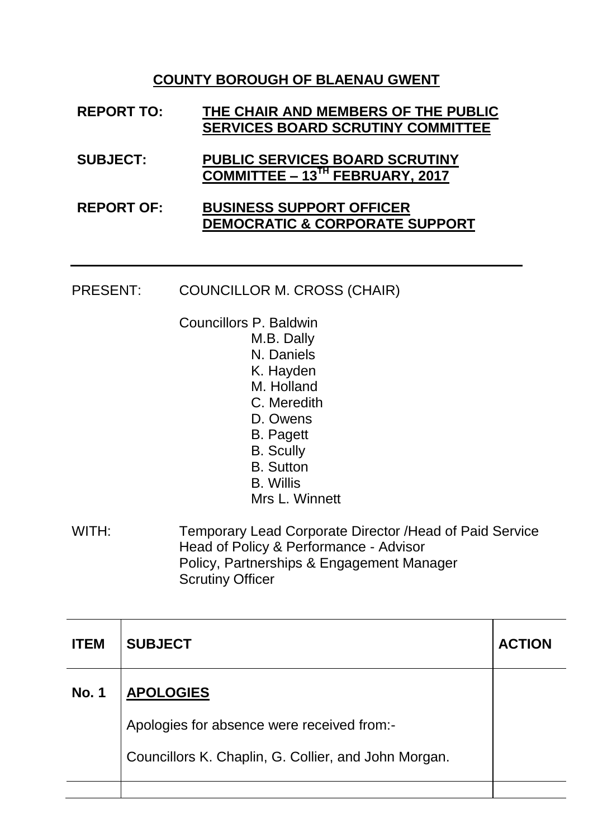### **COUNTY BOROUGH OF BLAENAU GWENT**

| <b>REPORT TO:</b> | THE CHAIR AND MEMBERS OF THE PUBLIC<br><b>SERVICES BOARD SCRUTINY COMMITTEE</b> |
|-------------------|---------------------------------------------------------------------------------|
| <b>SUBJECT:</b>   | <b>PUBLIC SERVICES BOARD SCRUTINY</b><br>COMMITTEE - 13TH FEBRUARY, 2017        |
| DEDADT AE.        | <b>DUCINECC CUDDADT AFFICED</b>                                                 |

#### **REPORT OF: BUSINESS SUPPORT OFFICER DEMOCRATIC & CORPORATE SUPPORT**

#### PRESENT: COUNCILLOR M. CROSS (CHAIR)

- Councillors P. Baldwin
	- M.B. Dally
	- N. Daniels
	- K. Hayden
	- M. Holland
	- C. Meredith
	- D. Owens
	- B. Pagett
	- B. Scully
	- B. Sutton
	- B. Willis
	- Mrs L. Winnett
- WITH: Temporary Lead Corporate Director / Head of Paid Service Head of Policy & Performance - Advisor Policy, Partnerships & Engagement Manager Scrutiny Officer

| <b>ITEM</b>  | <b>SUBJECT</b>                                       | <b>ACTION</b> |
|--------------|------------------------------------------------------|---------------|
| <b>No. 1</b> | <b>APOLOGIES</b>                                     |               |
|              | Apologies for absence were received from:-           |               |
|              | Councillors K. Chaplin, G. Collier, and John Morgan. |               |
|              |                                                      |               |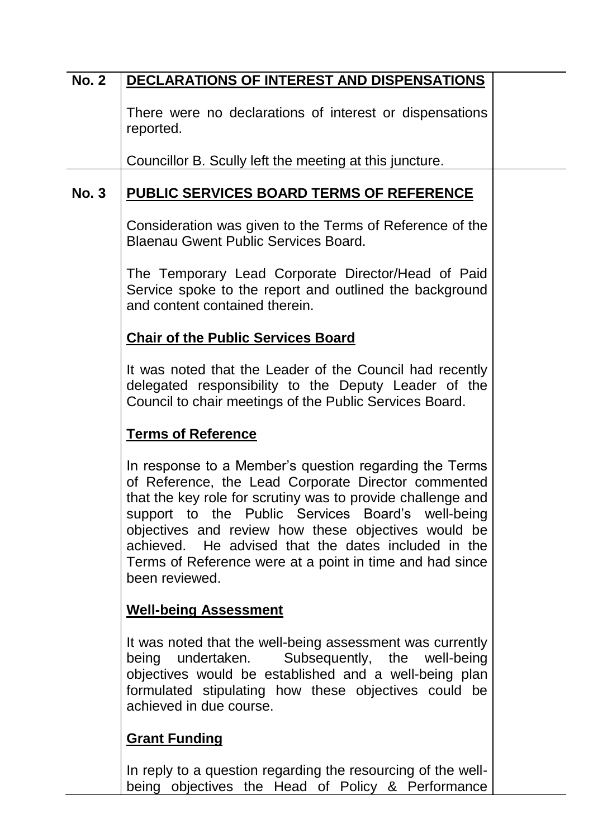# **No. 2 DECLARATIONS OF INTEREST AND DISPENSATIONS**

There were no declarations of interest or dispensations reported.

Councillor B. Scully left the meeting at this juncture.

### **No. 3 PUBLIC SERVICES BOARD TERMS OF REFERENCE**

Consideration was given to the Terms of Reference of the Blaenau Gwent Public Services Board.

The Temporary Lead Corporate Director/Head of Paid Service spoke to the report and outlined the background and content contained therein.

#### **Chair of the Public Services Board**

It was noted that the Leader of the Council had recently delegated responsibility to the Deputy Leader of the Council to chair meetings of the Public Services Board.

### **Terms of Reference**

In response to a Member's question regarding the Terms of Reference, the Lead Corporate Director commented that the key role for scrutiny was to provide challenge and support to the Public Services Board's well-being objectives and review how these objectives would be achieved. He advised that the dates included in the Terms of Reference were at a point in time and had since been reviewed.

#### **Well-being Assessment**

It was noted that the well-being assessment was currently being undertaken. Subsequently, the well-being objectives would be established and a well-being plan formulated stipulating how these objectives could be achieved in due course.

### **Grant Funding**

In reply to a question regarding the resourcing of the wellbeing objectives the Head of Policy & Performance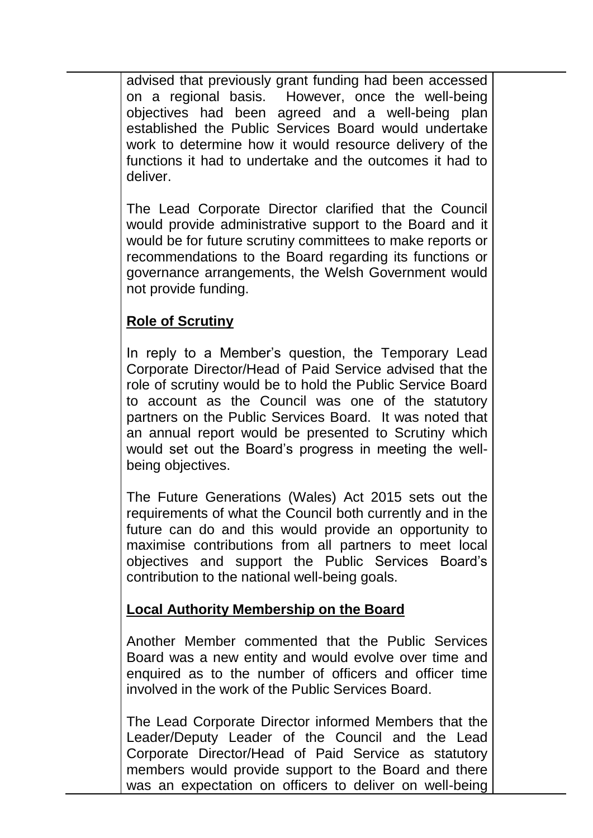advised that previously grant funding had been accessed on a regional basis. However, once the well-being objectives had been agreed and a well-being plan established the Public Services Board would undertake work to determine how it would resource delivery of the functions it had to undertake and the outcomes it had to deliver.

The Lead Corporate Director clarified that the Council would provide administrative support to the Board and it would be for future scrutiny committees to make reports or recommendations to the Board regarding its functions or governance arrangements, the Welsh Government would not provide funding.

## **Role of Scrutiny**

In reply to a Member's question, the Temporary Lead Corporate Director/Head of Paid Service advised that the role of scrutiny would be to hold the Public Service Board to account as the Council was one of the statutory partners on the Public Services Board. It was noted that an annual report would be presented to Scrutiny which would set out the Board's progress in meeting the wellbeing objectives.

The Future Generations (Wales) Act 2015 sets out the requirements of what the Council both currently and in the future can do and this would provide an opportunity to maximise contributions from all partners to meet local objectives and support the Public Services Board's contribution to the national well-being goals.

## **Local Authority Membership on the Board**

Another Member commented that the Public Services Board was a new entity and would evolve over time and enquired as to the number of officers and officer time involved in the work of the Public Services Board.

The Lead Corporate Director informed Members that the Leader/Deputy Leader of the Council and the Lead Corporate Director/Head of Paid Service as statutory members would provide support to the Board and there was an expectation on officers to deliver on well-being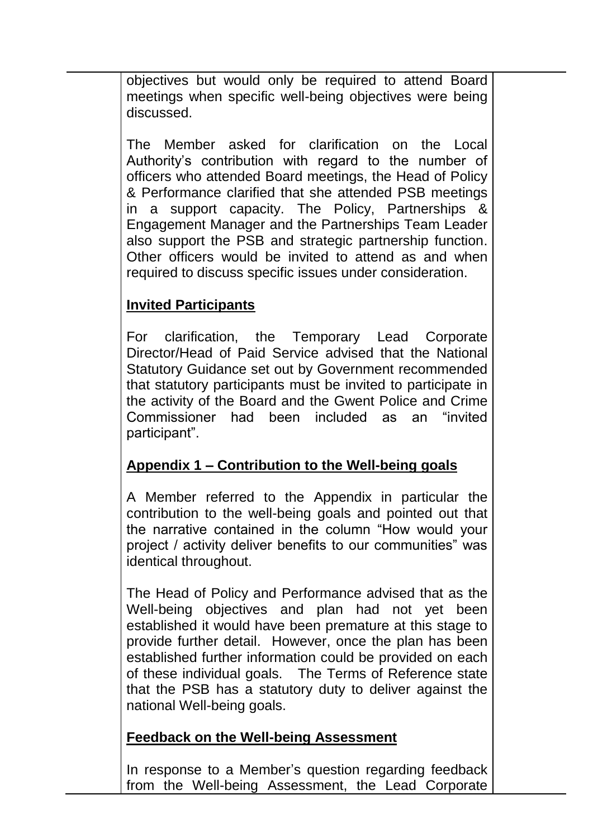objectives but would only be required to attend Board meetings when specific well-being objectives were being discussed.

The Member asked for clarification on the Local Authority's contribution with regard to the number of officers who attended Board meetings, the Head of Policy & Performance clarified that she attended PSB meetings in a support capacity. The Policy, Partnerships & Engagement Manager and the Partnerships Team Leader also support the PSB and strategic partnership function. Other officers would be invited to attend as and when required to discuss specific issues under consideration.

## **Invited Participants**

For clarification, the Temporary Lead Corporate Director/Head of Paid Service advised that the National Statutory Guidance set out by Government recommended that statutory participants must be invited to participate in the activity of the Board and the Gwent Police and Crime Commissioner had been included as an "invited participant".

## **Appendix 1 – Contribution to the Well-being goals**

A Member referred to the Appendix in particular the contribution to the well-being goals and pointed out that the narrative contained in the column "How would your project / activity deliver benefits to our communities" was identical throughout.

The Head of Policy and Performance advised that as the Well-being objectives and plan had not yet been established it would have been premature at this stage to provide further detail. However, once the plan has been established further information could be provided on each of these individual goals. The Terms of Reference state that the PSB has a statutory duty to deliver against the national Well-being goals.

## **Feedback on the Well-being Assessment**

In response to a Member's question regarding feedback from the Well-being Assessment, the Lead Corporate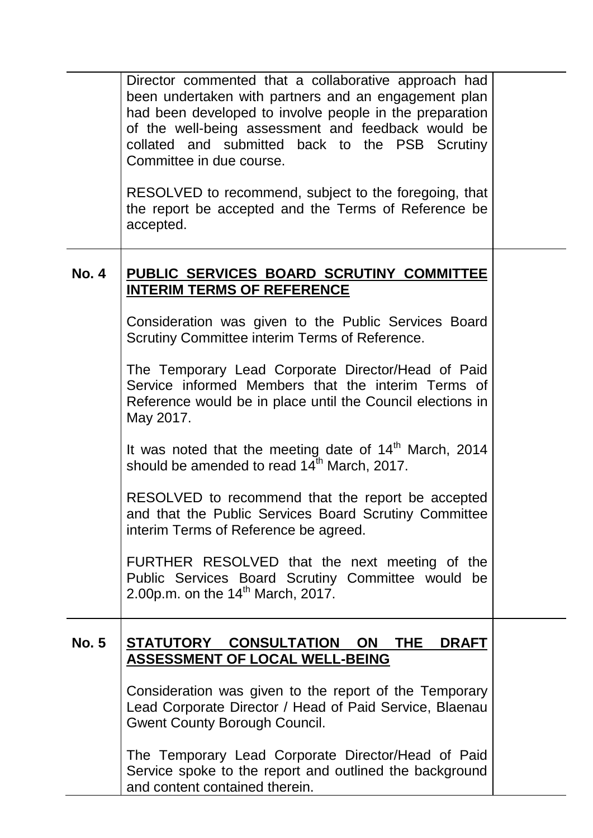|              | Director commented that a collaborative approach had<br>been undertaken with partners and an engagement plan<br>had been developed to involve people in the preparation<br>of the well-being assessment and feedback would be<br>collated and submitted back to the PSB Scrutiny<br>Committee in due course.<br>RESOLVED to recommend, subject to the foregoing, that<br>the report be accepted and the Terms of Reference be<br>accepted. |  |
|--------------|--------------------------------------------------------------------------------------------------------------------------------------------------------------------------------------------------------------------------------------------------------------------------------------------------------------------------------------------------------------------------------------------------------------------------------------------|--|
| <b>No. 4</b> | PUBLIC SERVICES BOARD SCRUTINY COMMITTEE<br><b>INTERIM TERMS OF REFERENCE</b>                                                                                                                                                                                                                                                                                                                                                              |  |
|              | Consideration was given to the Public Services Board<br>Scrutiny Committee interim Terms of Reference.                                                                                                                                                                                                                                                                                                                                     |  |
|              | The Temporary Lead Corporate Director/Head of Paid<br>Service informed Members that the interim Terms of<br>Reference would be in place until the Council elections in<br>May 2017.                                                                                                                                                                                                                                                        |  |
|              | It was noted that the meeting date of $14th$ March, 2014<br>should be amended to read 14 <sup>th</sup> March, 2017.                                                                                                                                                                                                                                                                                                                        |  |
|              | RESOLVED to recommend that the report be accepted<br>and that the Public Services Board Scrutiny Committee<br>interim Terms of Reference be agreed.                                                                                                                                                                                                                                                                                        |  |
|              | FURTHER RESOLVED that the next meeting of the<br>Public Services Board Scrutiny Committee would be<br>2.00p.m. on the 14 <sup>th</sup> March, 2017.                                                                                                                                                                                                                                                                                        |  |
| <b>No. 5</b> | STATUTORY CONSULTATION<br><b>ON</b><br>THE.<br><b>DRAFT</b><br><b>ASSESSMENT OF LOCAL WELL-BEING</b>                                                                                                                                                                                                                                                                                                                                       |  |
|              | Consideration was given to the report of the Temporary<br>Lead Corporate Director / Head of Paid Service, Blaenau<br><b>Gwent County Borough Council.</b>                                                                                                                                                                                                                                                                                  |  |
|              | The Temporary Lead Corporate Director/Head of Paid<br>Service spoke to the report and outlined the background<br>and content contained therein.                                                                                                                                                                                                                                                                                            |  |